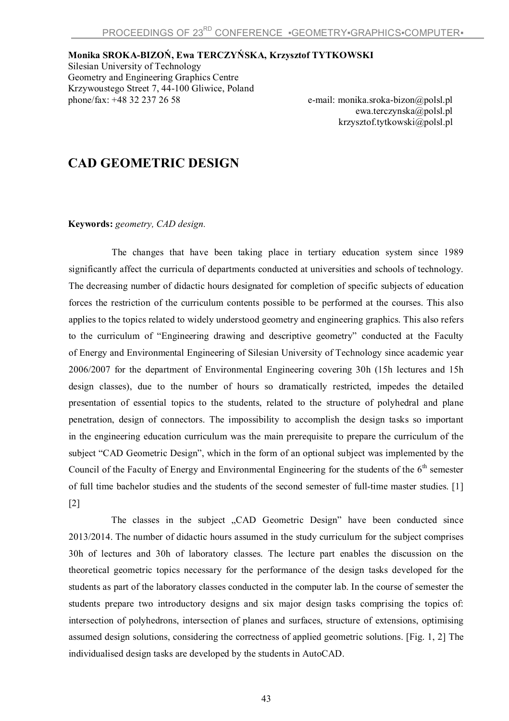**Monika SROKA-BIZOŃ, Ewa TERCZYŃSKA, Krzysztof TYTKOWSKI**

Silesian University of Technology Geometry and Engineering Graphics Centre Krzywoustego Street 7, 44-100 Gliwice, Poland<br>phone/fax: +48 32 237 26 58

e-mail: monika.sroka-bizon@polsl.pl ewa.terczynska@polsl.pl krzysztof.tytkowski@polsl.pl

## **CAD GEOMETRIC DESIGN**

**Keywords:** *geometry, CAD design.*

The changes that have been taking place in tertiary education system since 1989 significantly affect the curricula of departments conducted at universities and schools of technology. The decreasing number of didactic hours designated for completion of specific subjects of education forces the restriction of the curriculum contents possible to be performed at the courses. This also applies to the topics related to widely understood geometry and engineering graphics. This also refers to the curriculum of "Engineering drawing and descriptive geometry" conducted at the Faculty of Energy and Environmental Engineering of Silesian University of Technology since academic year 2006/2007 for the department of Environmental Engineering covering 30h (15h lectures and 15h design classes), due to the number of hours so dramatically restricted, impedes the detailed presentation of essential topics to the students, related to the structure of polyhedral and plane penetration, design of connectors. The impossibility to accomplish the design tasks so important in the engineering education curriculum was the main prerequisite to prepare the curriculum of the subject "CAD Geometric Design", which in the form of an optional subject was implemented by the Council of the Faculty of Energy and Environmental Engineering for the students of the 6<sup>th</sup> semester of full time bachelor studies and the students of the second semester of full-time master studies. [1] [2]

The classes in the subject "CAD Geometric Design" have been conducted since 2013/2014. The number of didactic hours assumed in the study curriculum for the subject comprises 30h of lectures and 30h of laboratory classes. The lecture part enables the discussion on the theoretical geometric topics necessary for the performance of the design tasks developed for the students as part of the laboratory classes conducted in the computer lab. In the course of semester the students prepare two introductory designs and six major design tasks comprising the topics of: intersection of polyhedrons, intersection of planes and surfaces, structure of extensions, optimising assumed design solutions, considering the correctness of applied geometric solutions. [Fig. 1, 2] The individualised design tasks are developed by the students in AutoCAD.